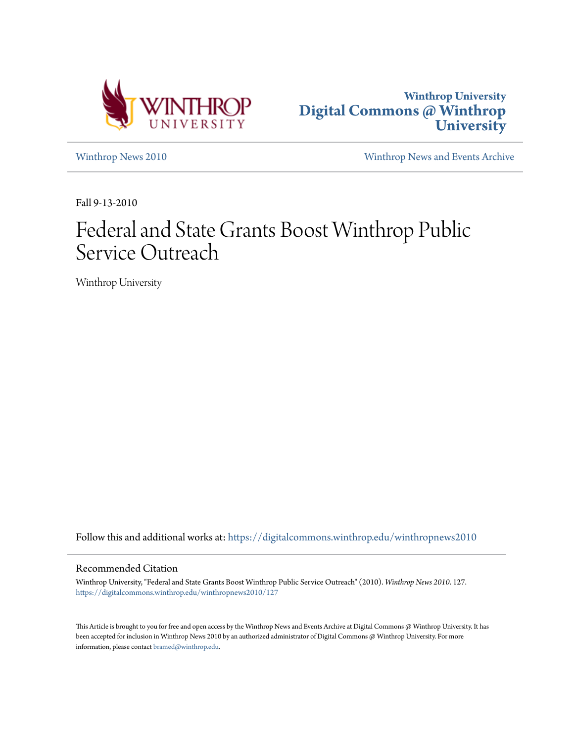



[Winthrop News 2010](https://digitalcommons.winthrop.edu/winthropnews2010?utm_source=digitalcommons.winthrop.edu%2Fwinthropnews2010%2F127&utm_medium=PDF&utm_campaign=PDFCoverPages) [Winthrop News and Events Archive](https://digitalcommons.winthrop.edu/winthropnewsarchives?utm_source=digitalcommons.winthrop.edu%2Fwinthropnews2010%2F127&utm_medium=PDF&utm_campaign=PDFCoverPages)

Fall 9-13-2010

# Federal and State Grants Boost Winthrop Public Service Outreach

Winthrop University

Follow this and additional works at: [https://digitalcommons.winthrop.edu/winthropnews2010](https://digitalcommons.winthrop.edu/winthropnews2010?utm_source=digitalcommons.winthrop.edu%2Fwinthropnews2010%2F127&utm_medium=PDF&utm_campaign=PDFCoverPages)

### Recommended Citation

Winthrop University, "Federal and State Grants Boost Winthrop Public Service Outreach" (2010). *Winthrop News 2010*. 127. [https://digitalcommons.winthrop.edu/winthropnews2010/127](https://digitalcommons.winthrop.edu/winthropnews2010/127?utm_source=digitalcommons.winthrop.edu%2Fwinthropnews2010%2F127&utm_medium=PDF&utm_campaign=PDFCoverPages)

This Article is brought to you for free and open access by the Winthrop News and Events Archive at Digital Commons @ Winthrop University. It has been accepted for inclusion in Winthrop News 2010 by an authorized administrator of Digital Commons @ Winthrop University. For more information, please contact [bramed@winthrop.edu](mailto:bramed@winthrop.edu).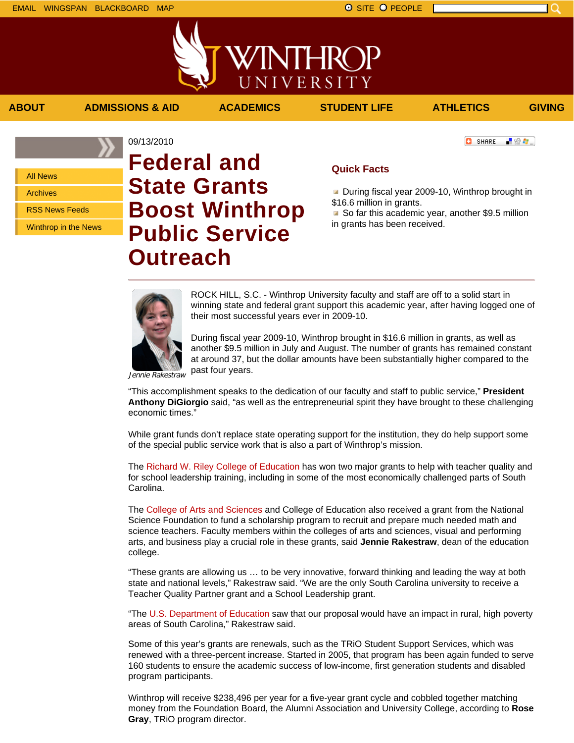All News

Archives

RSS News Feeds

Winthrop in the News

# 09/13/2010 **Federal and State Grants Boost Winthrop Public Service Outreach**

## **Quick Facts**

**ABOUT ADMISSIONS & AID ACADEMICS STUDENT LIFE ATHLETICS GIVING**

WINTHRC

UNIVERSITY

During fiscal year 2009-10, Winthrop brought in \$16.6 million in grants.

So far this academic year, another \$9.5 million in grants has been received.

ROCK HILL, S.C. - Winthrop University faculty and staff are off to a solid start in winning state and federal grant support this academic year, after having logged one of their most successful years ever in 2009-10.

During fiscal year 2009-10, Winthrop brought in \$16.6 million in grants, as well as another \$9.5 million in July and August. The number of grants has remained constant at around 37, but the dollar amounts have been substantially higher compared to the past four years.

Jennie Rakestraw

"This accomplishment speaks to the dedication of our faculty and staff to public service," **President Anthony DiGiorgio** said, "as well as the entrepreneurial spirit they have brought to these challenging economic times."

While grant funds don't replace state operating support for the institution, they do help support some of the special public service work that is also a part of Winthrop's mission.

The Richard W. Riley College of Education has won two major grants to help with teacher quality and for school leadership training, including in some of the most economically challenged parts of South Carolina.

The College of Arts and Sciences and College of Education also received a grant from the National Science Foundation to fund a scholarship program to recruit and prepare much needed math and science teachers. Faculty members within the colleges of arts and sciences, visual and performing arts, and business play a crucial role in these grants, said **Jennie Rakestraw**, dean of the education college.

"These grants are allowing us … to be very innovative, forward thinking and leading the way at both state and national levels," Rakestraw said. "We are the only South Carolina university to receive a Teacher Quality Partner grant and a School Leadership grant.

"The U.S. Department of Education saw that our proposal would have an impact in rural, high poverty areas of South Carolina," Rakestraw said.

Some of this year's grants are renewals, such as the TRiO Student Support Services, which was renewed with a three-percent increase. Started in 2005, that program has been again funded to serve 160 students to ensure the academic success of low-income, first generation students and disabled program participants.

Winthrop will receive \$238,496 per year for a five-year grant cycle and cobbled together matching money from the Foundation Board, the Alumni Association and University College, according to **Rose Gray**, TRiO program director.